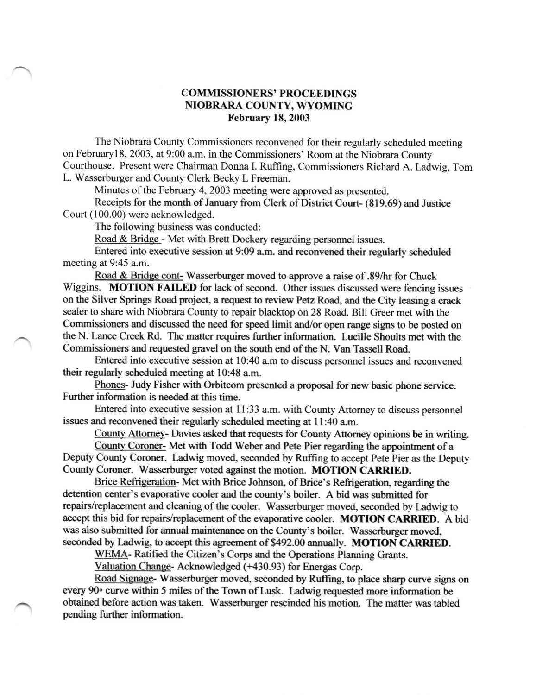## COMMISSIONERS'' PROCEEDINGS NIOBRARA COUNTY, WYOMING February 18, 2003

The Niobrara County Commissioners reconvened for their regularly scheduled meeting on Februaryl8, 2003, at 9:00 a.m. in the Commissioners' Room at the Niobrara County Courthouse. Present were Chairman Donna I. Ruffing, Commissioners Richard A. Ladwig, Tom L. Wasserburger and County Clerk Becky L Freeman.

Minutes of the February 4, 2003 meeting were approved as presented.

Receipts for the month of January fiom Clerk of District Court- (819.69) and Justice Court (100.00) were acknowledged.

The following business was conducted:

Road & Bridge - Met with Brett Dockery regarding personnel issues.

Entered into executive session at 9:09 a.m. and reconvened their regularly scheduled meeting at 9:45 a.m.

Road & Bridge cont- Wasserburger moved to approve a raise of .89/hr for Chuck Wiggins. MOTION FAILED for lack of second. Other issues discussed were fencing issues on the Silver Springs Road project, a request to review Petz Road, and the City leasing a crack sealer to share with Niobrara County to repair blacktop on 28 Road. Bill Greer met with the Commissioners and discussed the need for speed limit and/or open range signs to be posted on the N. Lance Creek Rd. The matter requires firther information. Lucille Shoults met with the Commissioners and requested gravel on the south end of the N. Van Tassell Road.

Entered into executive session at 10:40 a.m to discuss personnel issues and reconvened their regularly scheduled meeting at 10:48 a.m.

Phones- Judy Fisher with Orbitcom presented a proposal for new basic phone service. Further information is needed at this time.

Entered into executive session at 11:33 a.m. with County Attorney to discuss personnel issues and reconvened their regularly scheduled meeting at 11:40 a.m.

County Attorney- Davies asked that requests for County Attorney opinions be in writing.

County Coroner- Met with Todd Weber and Pete Pier regarding the appointment of a Deputy County Coroner. Ladwig moved, seconded by Ruffing to accept Pete Pier as the Deputy County Coroner. Wasserburger voted against the motion. MOTION CARRIED.

Brice Refrigeration- Met with Brice Johnson, of Brice's Refrigeration, regarding the detention center's evaporative cooler and the county's boiler. A bid was submitted for repairs/replacement and cleaning of the cooler. Wasserburger moved, seconded by Ladwig to accept this bid for repairs/replacement of the evaporative cooler. MOTION CARRIED. A bid was also submitted for annual maintenance on the County's boiler. Wasserburger moved, seconded by Ladwig, to accept this agreement of \$492.00 annually. MOTION CARRIED.

WEMA- Ratified the Citizen's Corps and the Operations Planning Grants.

Valuation Change- Acknowlelged (+430.93) for Energas Corp.

Road Signage- Wasserburger moved, seconded by Ruffing, to place sharp curve signs on every 90° curve within 5 miles of the Town of Lusk. Ladwig requested more information be obtained before action was taken. Wasserburger rescinded his motion. The matter was tabled pending further information.